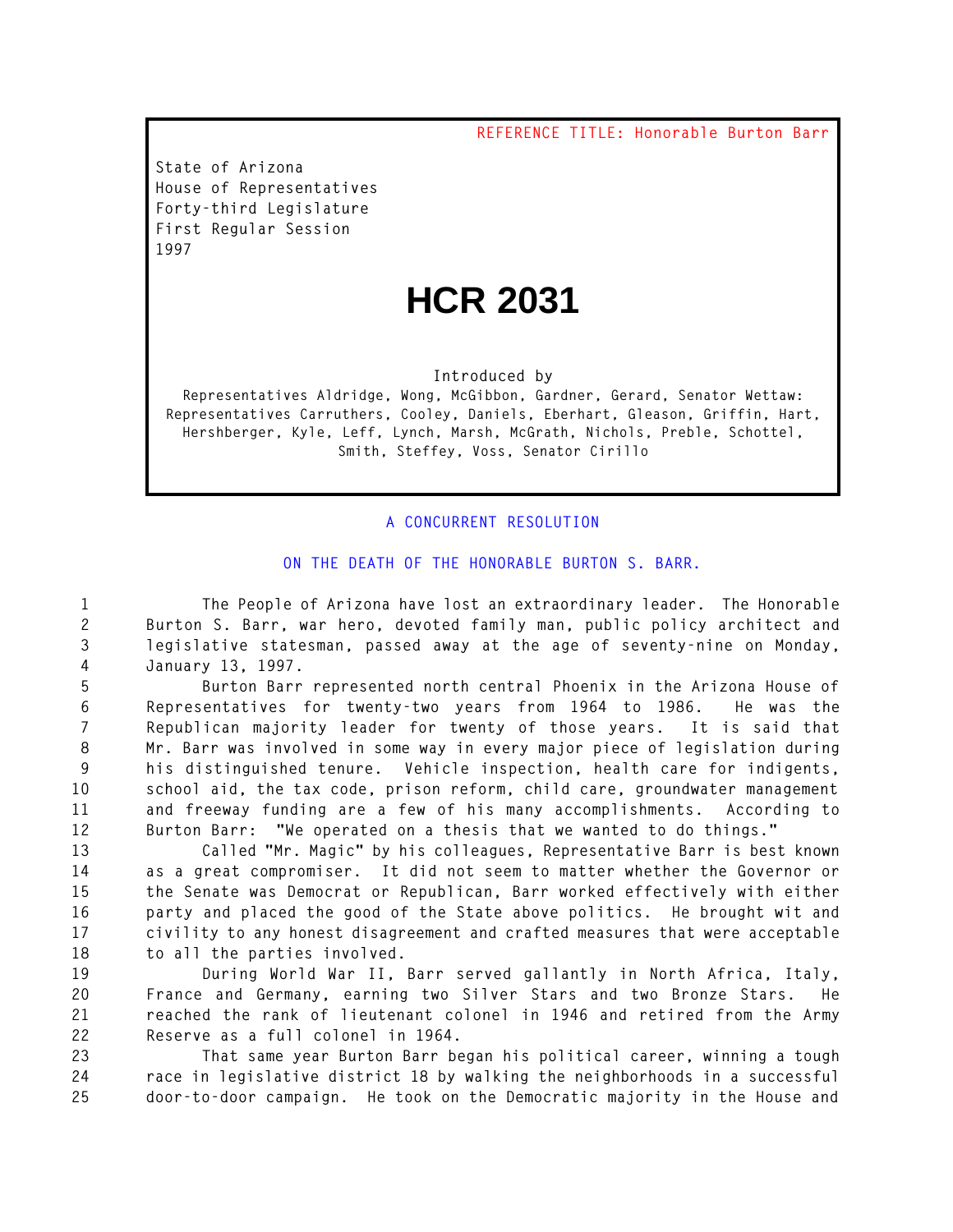**REFERENCE TITLE: Honorable Burton Barr**

**State of Arizona House of Representatives Forty-third Legislature First Regular Session** 

## **HCR 2031**

**Introduced by**

**Representatives Aldridge, Wong, McGibbon, Gardner, Gerard, Senator Wettaw: Representatives Carruthers, Cooley, Daniels, Eberhart, Gleason, Griffin, Hart, Hershberger, Kyle, Leff, Lynch, Marsh, McGrath, Nichols, Preble, Schottel, Smith, Steffey, Voss, Senator Cirillo**

## **A CONCURRENT RESOLUTION**

**On the death of the Honorable Burton S. Barr.**

 **The People of Arizona have lost an extraordinary leader. The Honorable Burton S. Barr, war hero, devoted family man, public policy architect and legislative statesman, passed away at the age of seventy-nine on Monday, January|13, 1997.**

 **Burton Barr represented north central Phoenix in the Arizona House of Representatives for twenty-two years from 1964 to 1986. He was the Republican majority leader for twenty of those years. It is said that Mr.|Barr was involved in some way in every major piece of legislation during his distinguished tenure. Vehicle inspection, health care for indigents, school aid, the tax code, prison reform, child care, groundwater management and freeway funding are a few of his many accomplishments. According to Burton Barr: "We operated on a thesis that we wanted to do things."** 

 **Called "Mr. Magic" by his colleagues, Representative Barr is best known as a great compromiser. It did not seem to matter whether the Governor or the Senate was Democrat or Republican, Barr worked effectively with either party and placed the good of the State above politics. He brought wit and civility to any honest disagreement and crafted measures that were acceptable to all the parties involved.**

 **During World War II, Barr served gallantly in North Africa, Italy, France and Germany, earning two Silver Stars and two Bronze Stars. He reached the rank of lieutenant colonel in 1946 and retired from the Army Reserve as a full colonel in 1964.**

 **That same year Burton Barr began his political career, winning a tough race in legislative district 18 by walking the neighborhoods in a successful door-to-door campaign. He took on the Democratic majority in the House and**